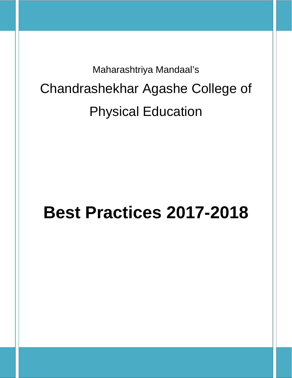Maharashtriya Mandaal's Chandrashekhar Agashe College of Physical Education

# **Best Practices 2017-2018**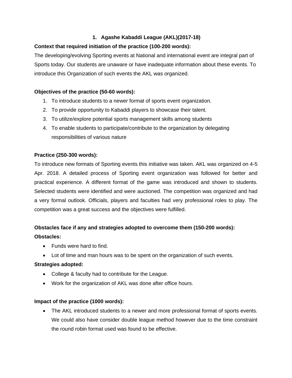## **1. Agashe Kabaddi League (AKL)(2017-18)**

## **Context that required initiation of the practice (100-200 words):**

The developing/evolving Sporting events at National and international event are integral part of Sports today. Our students are unaware or have inadequate information about these events. To introduce this Organization of such events the AKL was organized.

## **Objectives of the practice (50-60 words):**

- 1. To introduce students to a newer format of sports event organization.
- 2. To provide opportunity to Kabaddi players to showcase their talent.
- 3. To utilize/explore potential sports management skills among students
- 4. To enable students to participate/contribute to the organization by delegating responsibilities of various nature

## **Practice (250-300 words):**

To introduce new formats of Sporting events this initiative was taken. AKL was organized on 4-5 Apr. 2018. A detailed process of Sporting event organization was followed for better and practical experience. A different format of the game was introduced and shown to students. Selected students were identified and were auctioned. The competition was organized and had a very formal outlook. Officials, players and faculties had very professional roles to play. The competition was a great success and the objectives were fulfilled.

## **Obstacles face if any and strategies adopted to overcome them (150-200 words): Obstacles:**

- Funds were hard to find.
- Lot of time and man hours was to be spent on the organization of such events.

## **Strategies adopted:**

- College & faculty had to contribute for the League.
- Work for the organization of AKL was done after office hours.

## **Impact of the practice (1000 words):**

• The AKL introduced students to a newer and more professional format of sports events. We could also have consider double league method however due to the time constraint the round robin format used was found to be effective.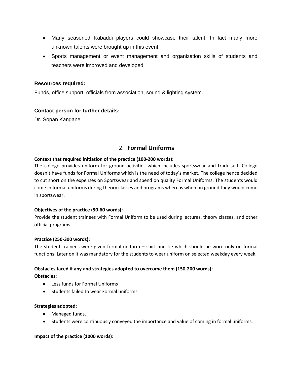- Many seasoned Kabaddi players could showcase their talent. In fact many more unknown talents were brought up in this event.
- Sports management or event management and organization skills of students and teachers were improved and developed.

### **Resources required:**

Funds, office support, officials from association, sound & lighting system.

## **Contact person for further details:**

Dr. Sopan Kangane

## 2. **Formal Uniforms**

#### **Context that required initiation of the practice (100-200 words):**

The college provides uniform for ground activities which includes sportswear and track suit. College doesn't have funds for Formal Uniforms which is the need of today's market. The college hence decided to cut short on the expenses on Sportswear and spend on quality Formal Uniforms. The students would come in formal uniforms during theory classes and programs whereas when on ground they would come in sportswear.

#### **Objectives of the practice (50-60 words):**

Provide the student trainees with Formal Uniform to be used during lectures, theory classes, and other official programs.

#### **Practice (250-300 words):**

The student trainees were given formal uniform – shirt and tie which should be wore only on formal functions. Later on it was mandatory for the students to wear uniform on selected weekday every week.

#### **Obstacles faced if any and strategies adopted to overcome them (150-200 words):**

#### **Obstacles:**

- Less funds for Formal Uniforms
- Students failed to wear Formal uniforms

#### **Strategies adopted:**

- Managed funds.
- Students were continuously conveyed the importance and value of coming in formal uniforms.

#### **Impact of the practice (1000 words):**